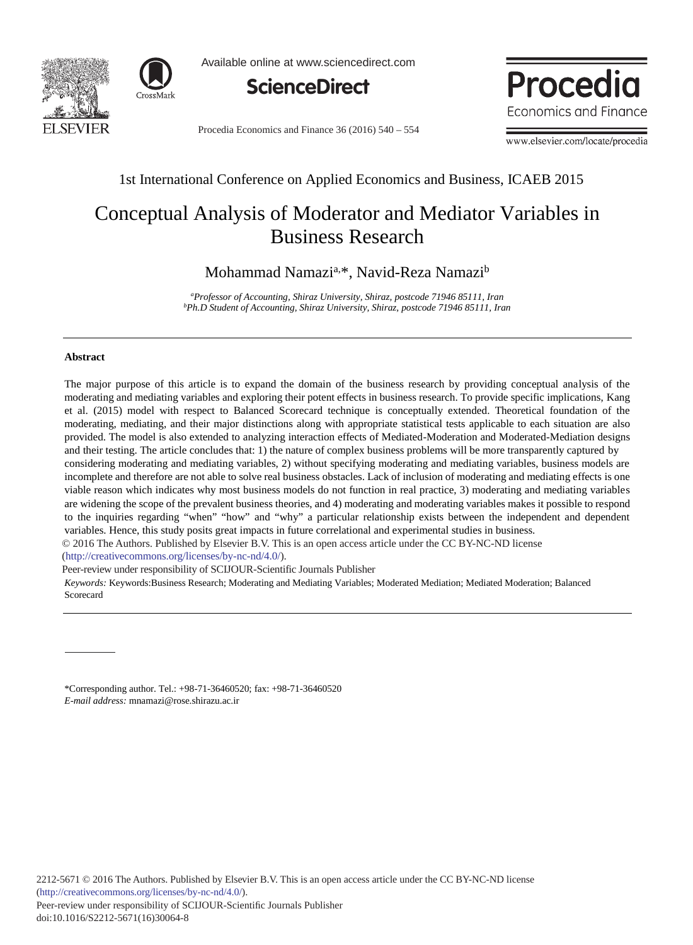



Available online at www.sciencedirect.com



Procedia Economics and Finance  $36(2016)$   $540 - 554$ 



www.elsevier.com/locate/procedia

# 1st International Conference on Applied Economics and Business, ICAEB 2015

# Conceptual Analysis of Moderator and Mediator Variables in Business Research

Mohammad Namazi<sup>a,\*</sup>, Navid-Reza Namazi<sup>b</sup>

*a Professor of Accounting, Shiraz University, Shiraz, postcode 71946 85111, Iran b Ph.D Student of Accounting, Shiraz University, Shiraz, postcode 71946 85111, Iran*

#### **Abstract**

The major purpose of this article is to expand the domain of the business research by providing conceptual analysis of the moderating and mediating variables and exploring their potent effects in business research. To provide specific implications, Kang et al. (2015) model with respect to Balanced Scorecard technique is conceptually extended. Theoretical foundation of the moderating, mediating, and their major distinctions along with appropriate statistical tests applicable to each situation are also provided. The model is also extended to analyzing interaction effects of Mediated-Moderation and Moderated-Mediation designs and their testing. The article concludes that: 1) the nature of complex business problems will be more transparently captured by considering moderating and mediating variables, 2) without specifying moderating and mediating variables, business models are incomplete and therefore are not able to solve real business obstacles. Lack of inclusion of moderating and mediating effects is one viable reason which indicates why most business models do not function in real practice, 3) moderating and mediating variables

are widening the scope of the prevalent business theories, and 4) moderating and moderating variables makes it possible to respond to the inquiries regarding "when" "how" and "why" a particular relationship exists between the independent and dependent variables. Hence, this study posits great impacts in future correlational and experimental studies in business.

© 2015 The Authors. Published by Elsevier B.V. © 2016 The Authors. Published by Elsevier B.V. This is an open access article under the CC BY-NC-ND license

(http://creativecommons.org/licenses/by-nc-nd/4.0/).

Peer-review under responsibility of SCIJOUR-Scientific Journals Publisher

*Keywords:* Keywords:Business Research; Moderating and Mediating Variables; Moderated Mediation; Mediated Moderation; Balanced Scorecard

<sup>\*</sup>Corresponding author. Tel.: +98-71-36460520; fax: +98-71-36460520 *E-mail address:* mnamazi@rose.shirazu.ac.ir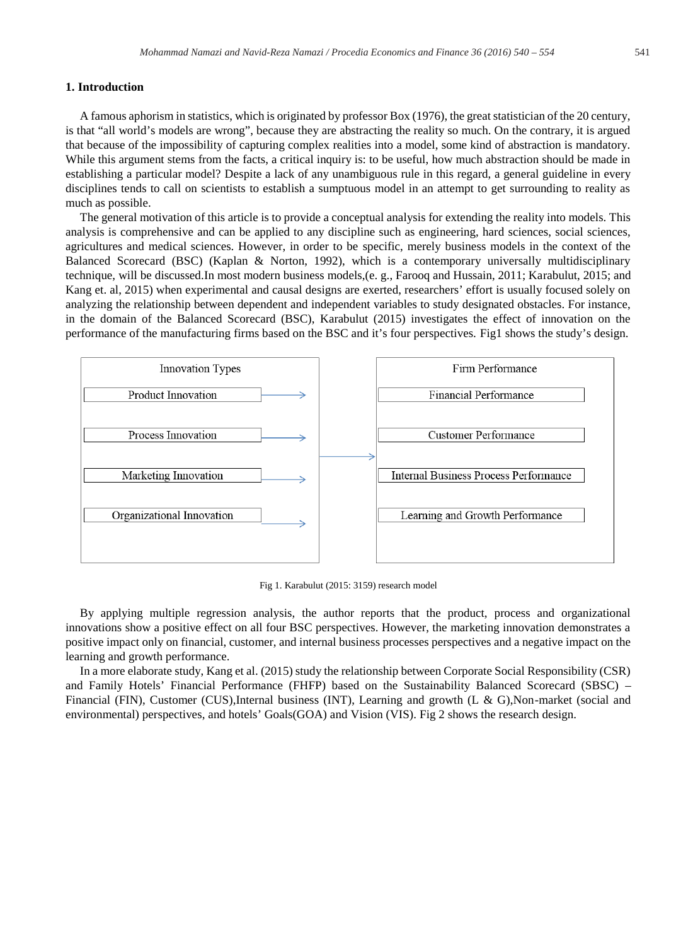## **1. Introduction**

A famous aphorism in statistics, which is originated by professor Box (1976), the great statistician of the 20 century, is that "all world's models are wrong", because they are abstracting the reality so much. On the contrary, it is argued that because of the impossibility of capturing complex realities into a model, some kind of abstraction is mandatory. While this argument stems from the facts, a critical inquiry is: to be useful, how much abstraction should be made in establishing a particular model? Despite a lack of any unambiguous rule in this regard, a general guideline in every disciplines tends to call on scientists to establish a sumptuous model in an attempt to get surrounding to reality as much as possible.

The general motivation of this article is to provide a conceptual analysis for extending the reality into models. This analysis is comprehensive and can be applied to any discipline such as engineering, hard sciences, social sciences, agricultures and medical sciences. However, in order to be specific, merely business models in the context of the Balanced Scorecard (BSC) (Kaplan & Norton, 1992), which is a contemporary universally multidisciplinary technique, will be discussed.In most modern business models,(e. g., Farooq and Hussain, 2011; Karabulut, 2015; and Kang et. al, 2015) when experimental and causal designs are exerted, researchers' effort is usually focused solely on analyzing the relationship between dependent and independent variables to study designated obstacles. For instance, in the domain of the Balanced Scorecard (BSC), Karabulut (2015) investigates the effect of innovation on the performance of the manufacturing firms based on the BSC and it's four perspectives. Fig1 shows the study's design.



Fig 1. Karabulut (2015: 3159) research model

By applying multiple regression analysis, the author reports that the product, process and organizational innovations show a positive effect on all four BSC perspectives. However, the marketing innovation demonstrates a positive impact only on financial, customer, and internal business processes perspectives and a negative impact on the learning and growth performance.

In a more elaborate study, Kang et al. (2015) study the relationship between Corporate Social Responsibility (CSR) and Family Hotels' Financial Performance (FHFP) based on the Sustainability Balanced Scorecard (SBSC) – Financial (FIN), Customer (CUS),Internal business (INT), Learning and growth (L & G),Non-market (social and environmental) perspectives, and hotels' Goals(GOA) and Vision (VIS). Fig 2 shows the research design.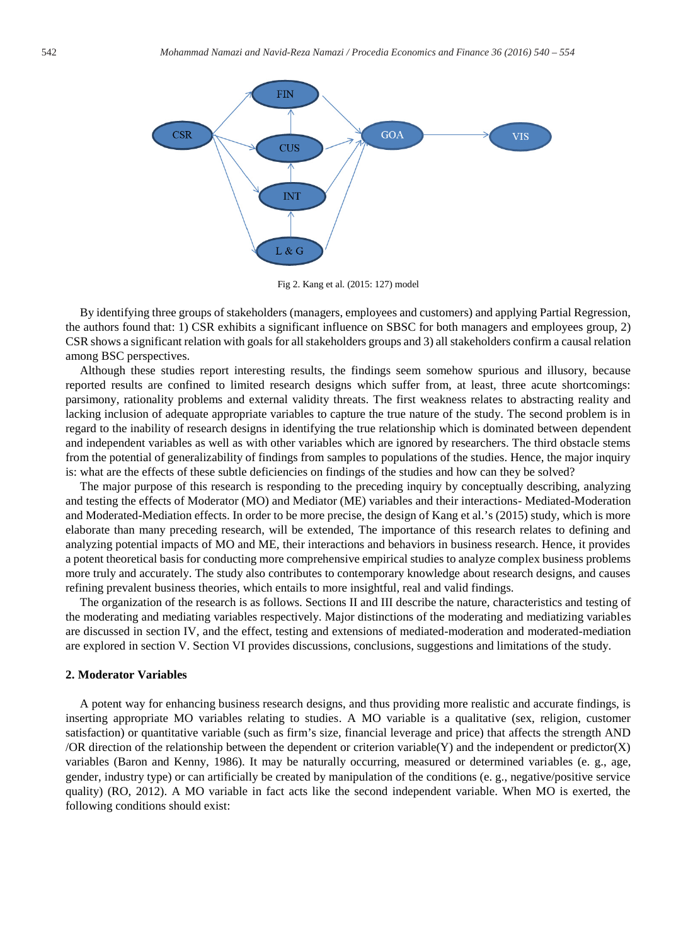

Fig 2. Kang et al. (2015: 127) model

By identifying three groups of stakeholders (managers, employees and customers) and applying Partial Regression, the authors found that: 1) CSR exhibits a significant influence on SBSC for both managers and employees group, 2) CSR shows a significant relation with goals for all stakeholders groups and 3) all stakeholders confirm a causal relation among BSC perspectives.

Although these studies report interesting results, the findings seem somehow spurious and illusory, because reported results are confined to limited research designs which suffer from, at least, three acute shortcomings: parsimony, rationality problems and external validity threats. The first weakness relates to abstracting reality and lacking inclusion of adequate appropriate variables to capture the true nature of the study. The second problem is in regard to the inability of research designs in identifying the true relationship which is dominated between dependent and independent variables as well as with other variables which are ignored by researchers. The third obstacle stems from the potential of generalizability of findings from samples to populations of the studies. Hence, the major inquiry is: what are the effects of these subtle deficiencies on findings of the studies and how can they be solved?

The major purpose of this research is responding to the preceding inquiry by conceptually describing, analyzing and testing the effects of Moderator (MO) and Mediator (ME) variables and their interactions- Mediated-Moderation and Moderated-Mediation effects. In order to be more precise, the design of Kang et al.'s (2015) study, which is more elaborate than many preceding research, will be extended, The importance of this research relates to defining and analyzing potential impacts of MO and ME, their interactions and behaviors in business research. Hence, it provides a potent theoretical basis for conducting more comprehensive empirical studies to analyze complex business problems more truly and accurately. The study also contributes to contemporary knowledge about research designs, and causes refining prevalent business theories, which entails to more insightful, real and valid findings.

The organization of the research is as follows. Sections II and III describe the nature, characteristics and testing of the moderating and mediating variables respectively. Major distinctions of the moderating and mediatizing variables are discussed in section IV, and the effect, testing and extensions of mediated-moderation and moderated-mediation are explored in section V. Section VI provides discussions, conclusions, suggestions and limitations of the study.

#### **2. Moderator Variables**

A potent way for enhancing business research designs, and thus providing more realistic and accurate findings, is inserting appropriate MO variables relating to studies. A MO variable is a qualitative (sex, religion, customer satisfaction) or quantitative variable (such as firm's size, financial leverage and price) that affects the strength AND /OR direction of the relationship between the dependent or criterion variable(Y) and the independent or predictor(X) variables (Baron and Kenny, 1986). It may be naturally occurring, measured or determined variables (e. g., age, gender, industry type) or can artificially be created by manipulation of the conditions (e. g., negative/positive service quality) (RO, 2012). A MO variable in fact acts like the second independent variable. When MO is exerted, the following conditions should exist: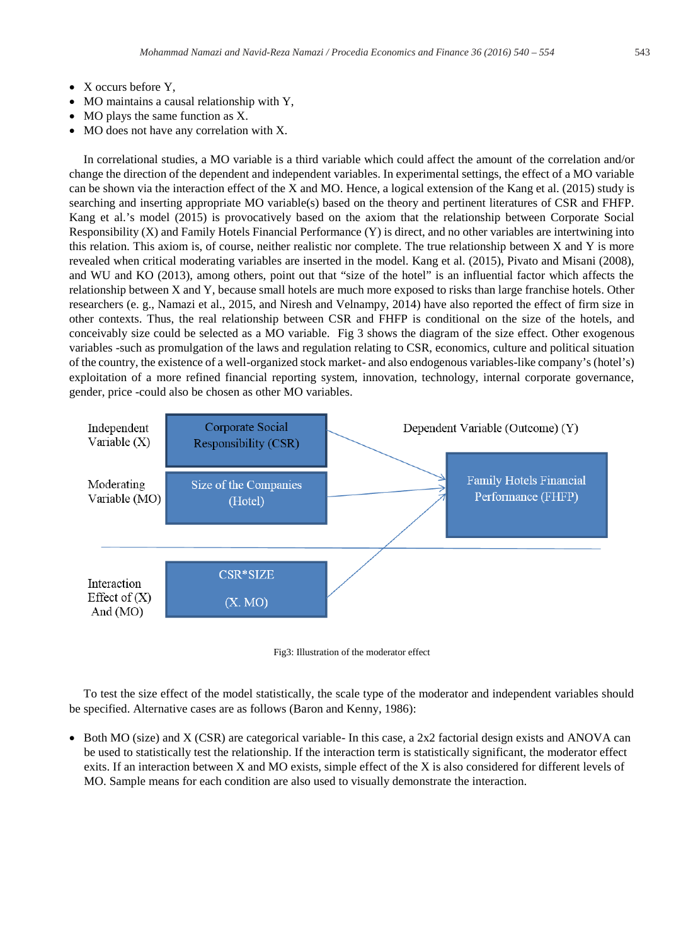- $\bullet$  X occurs before Y.
- MO maintains a causal relationship with Y,
- $MO$  plays the same function as X.
- $\bullet$  MO does not have any correlation with X.

In correlational studies, a MO variable is a third variable which could affect the amount of the correlation and/or change the direction of the dependent and independent variables. In experimental settings, the effect of a MO variable can be shown via the interaction effect of the X and MO. Hence, a logical extension of the Kang et al. (2015) study is searching and inserting appropriate MO variable(s) based on the theory and pertinent literatures of CSR and FHFP. Kang et al.'s model (2015) is provocatively based on the axiom that the relationship between Corporate Social Responsibility (X) and Family Hotels Financial Performance (Y) is direct, and no other variables are intertwining into this relation. This axiom is, of course, neither realistic nor complete. The true relationship between X and Y is more revealed when critical moderating variables are inserted in the model. Kang et al. (2015), Pivato and Misani (2008), and WU and KO (2013), among others, point out that "size of the hotel" is an influential factor which affects the relationship between X and Y, because small hotels are much more exposed to risks than large franchise hotels. Other researchers (e. g., Namazi et al., 2015, and Niresh and Velnampy, 2014) have also reported the effect of firm size in other contexts. Thus, the real relationship between CSR and FHFP is conditional on the size of the hotels, and conceivably size could be selected as a MO variable. Fig 3 shows the diagram of the size effect. Other exogenous variables -such as promulgation of the laws and regulation relating to CSR, economics, culture and political situation of the country, the existence of a well-organized stock market- and also endogenous variables-like company's (hotel's) exploitation of a more refined financial reporting system, innovation, technology, internal corporate governance, gender, price -could also be chosen as other MO variables.





To test the size effect of the model statistically, the scale type of the moderator and independent variables should be specified. Alternative cases are as follows (Baron and Kenny, 1986):

• Both MO (size) and X (CSR) are categorical variable- In this case, a 2x2 factorial design exists and ANOVA can be used to statistically test the relationship. If the interaction term is statistically significant, the moderator effect exits. If an interaction between X and MO exists, simple effect of the X is also considered for different levels of MO. Sample means for each condition are also used to visually demonstrate the interaction.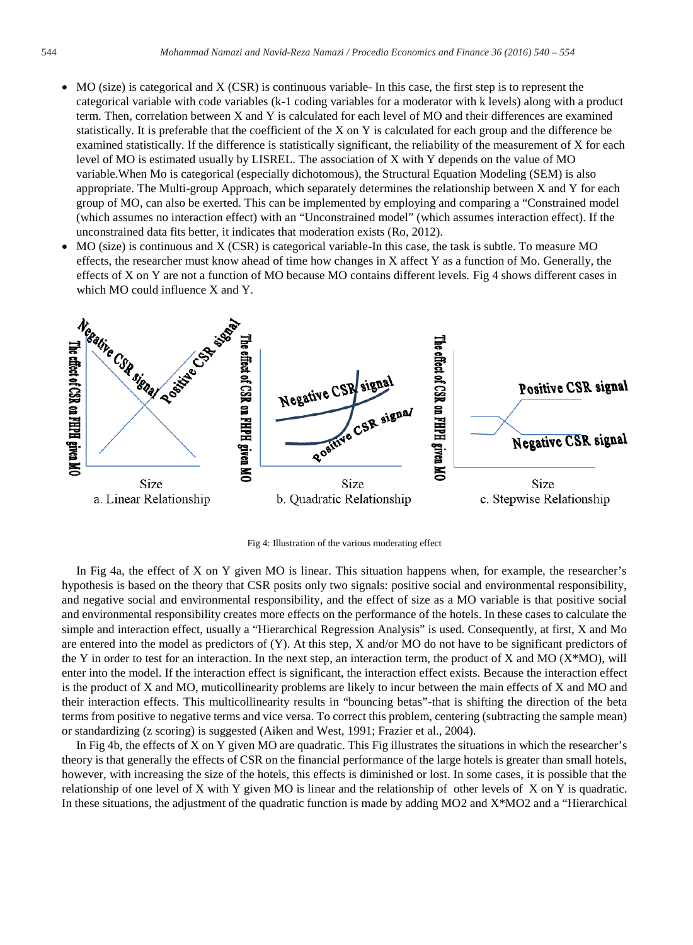- $\bullet$  MO (size) is categorical and X (CSR) is continuous variable- In this case, the first step is to represent the categorical variable with code variables (k-1 coding variables for a moderator with k levels) along with a product term. Then, correlation between X and Y is calculated for each level of MO and their differences are examined statistically. It is preferable that the coefficient of the X on Y is calculated for each group and the difference be examined statistically. If the difference is statistically significant, the reliability of the measurement of X for each level of MO is estimated usually by LISREL. The association of X with Y depends on the value of MO variable.When Mo is categorical (especially dichotomous), the Structural Equation Modeling (SEM) is also appropriate. The Multi-group Approach, which separately determines the relationship between X and Y for each group of MO, can also be exerted. This can be implemented by employing and comparing a "Constrained model (which assumes no interaction effect) with an "Unconstrained model" (which assumes interaction effect). If the unconstrained data fits better, it indicates that moderation exists (Ro, 2012).
- MO (size) is continuous and X (CSR) is categorical variable-In this case, the task is subtle. To measure MO effects, the researcher must know ahead of time how changes in X affect Y as a function of Mo. Generally, the effects of X on Y are not a function of MO because MO contains different levels. Fig 4 shows different cases in which MO could influence X and Y.



Fig 4: Illustration of the various moderating effect

In Fig 4a, the effect of X on Y given MO is linear. This situation happens when, for example, the researcher's hypothesis is based on the theory that CSR posits only two signals: positive social and environmental responsibility, and negative social and environmental responsibility, and the effect of size as a MO variable is that positive social and environmental responsibility creates more effects on the performance of the hotels. In these cases to calculate the simple and interaction effect, usually a "Hierarchical Regression Analysis" is used. Consequently, at first, X and Mo are entered into the model as predictors of (Y). At this step, X and/or MO do not have to be significant predictors of the Y in order to test for an interaction. In the next step, an interaction term, the product of X and MO  $(X^*MO)$ , will enter into the model. If the interaction effect is significant, the interaction effect exists. Because the interaction effect is the product of X and MO, muticollinearity problems are likely to incur between the main effects of X and MO and their interaction effects. This multicollinearity results in "bouncing betas"-that is shifting the direction of the beta terms from positive to negative terms and vice versa. To correct this problem, centering (subtracting the sample mean) or standardizing (z scoring) is suggested (Aiken and West, 1991; Frazier et al., 2004).

In Fig 4b, the effects of X on Y given MO are quadratic. This Fig illustrates the situations in which the researcher's theory is that generally the effects of CSR on the financial performance of the large hotels is greater than small hotels, however, with increasing the size of the hotels, this effects is diminished or lost. In some cases, it is possible that the relationship of one level of X with Y given MO is linear and the relationship of other levels of X on Y is quadratic. In these situations, the adjustment of the quadratic function is made by adding MO2 and X\*MO2 and a "Hierarchical"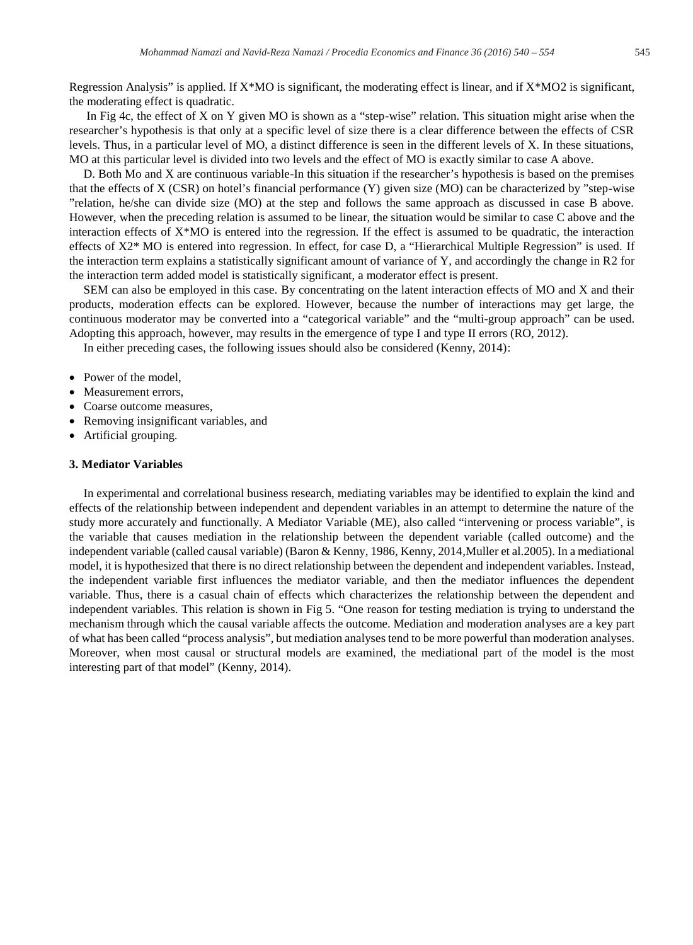Regression Analysis" is applied. If  $X^*MO$  is significant, the moderating effect is linear, and if  $X^*MO2$  is significant, the moderating effect is quadratic.

In Fig 4c, the effect of X on Y given MO is shown as a "step-wise" relation. This situation might arise when the researcher's hypothesis is that only at a specific level of size there is a clear difference between the effects of CSR levels. Thus, in a particular level of MO, a distinct difference is seen in the different levels of X. In these situations, MO at this particular level is divided into two levels and the effect of MO is exactly similar to case A above.

D. Both Mo and X are continuous variable-In this situation if the researcher's hypothesis is based on the premises that the effects of X (CSR) on hotel's financial performance (Y) given size (MO) can be characterized by "step-wise "relation, he/she can divide size (MO) at the step and follows the same approach as discussed in case B above. However, when the preceding relation is assumed to be linear, the situation would be similar to case C above and the interaction effects of  $X^*MO$  is entered into the regression. If the effect is assumed to be quadratic, the interaction effects of X2\* MO is entered into regression. In effect, for case D, a "Hierarchical Multiple Regression" is used. If the interaction term explains a statistically significant amount of variance of Y, and accordingly the change in R2 for the interaction term added model is statistically significant, a moderator effect is present.

SEM can also be employed in this case. By concentrating on the latent interaction effects of MO and X and their products, moderation effects can be explored. However, because the number of interactions may get large, the continuous moderator may be converted into a "categorical variable" and the "multi-group approach" can be used. Adopting this approach, however, may results in the emergence of type I and type II errors (RO, 2012).

In either preceding cases, the following issues should also be considered (Kenny, 2014):

- Power of the model.
- Measurement errors,
- Coarse outcome measures,
- Removing insignificant variables, and
- Artificial grouping.

#### **3. Mediator Variables**

In experimental and correlational business research, mediating variables may be identified to explain the kind and effects of the relationship between independent and dependent variables in an attempt to determine the nature of the study more accurately and functionally. A Mediator Variable (ME), also called "intervening or process variable", is the variable that causes mediation in the relationship between the dependent variable (called outcome) and the independent variable (called causal variable) (Baron & Kenny, 1986, Kenny, 2014,Muller et al.2005). In a mediational model, it is hypothesized that there is no direct relationship between the dependent and independent variables. Instead, the independent variable first influences the mediator variable, and then the mediator influences the dependent variable. Thus, there is a casual chain of effects which characterizes the relationship between the dependent and independent variables. This relation is shown in Fig 5. "One reason for testing mediation is trying to understand the mechanism through which the causal variable affects the outcome. Mediation and moderation analyses are a key part of what has been called "process analysis", but mediation analyses tend to be more powerful than moderation analyses. Moreover, when most causal or structural models are examined, the mediational part of the model is the most interesting part of that model" (Kenny, 2014).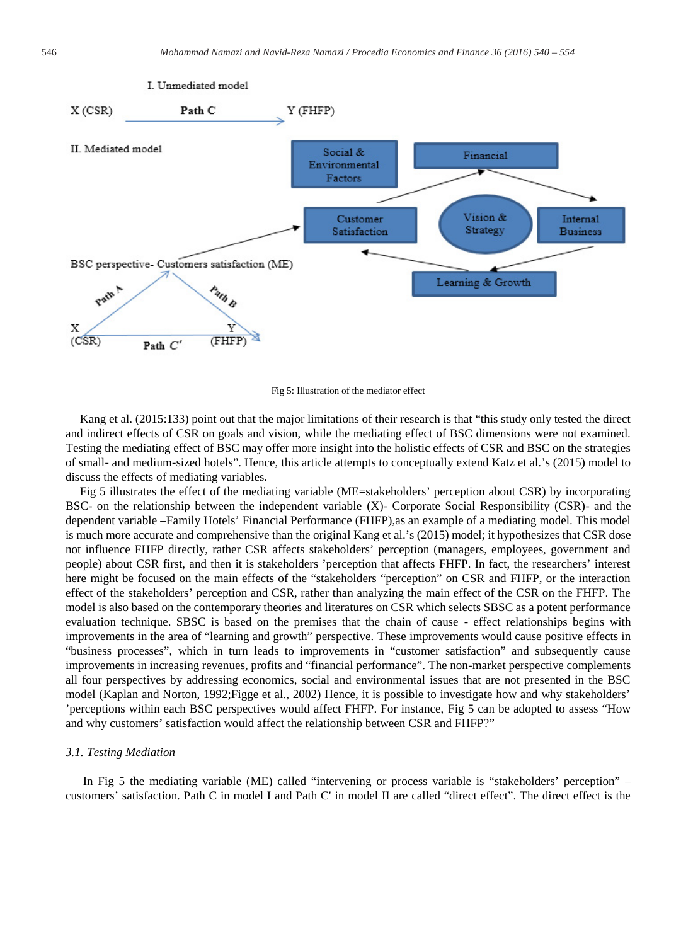

Fig 5: Illustration of the mediator effect

Kang et al. (2015:133) point out that the major limitations of their research is that "this study only tested the direct and indirect effects of CSR on goals and vision, while the mediating effect of BSC dimensions were not examined. Testing the mediating effect of BSC may offer more insight into the holistic effects of CSR and BSC on the strategies of small- and medium-sized hotels". Hence, this article attempts to conceptually extend Katz et al.'s (2015) model to discuss the effects of mediating variables.

Fig 5 illustrates the effect of the mediating variable (ME=stakeholders' perception about CSR) by incorporating BSC- on the relationship between the independent variable (X)- Corporate Social Responsibility (CSR)- and the dependent variable –Family Hotels' Financial Performance (FHFP),as an example of a mediating model. This model is much more accurate and comprehensive than the original Kang et al.'s (2015) model; it hypothesizes that CSR dose not influence FHFP directly, rather CSR affects stakeholders' perception (managers, employees, government and people) about CSR first, and then it is stakeholders 'perception that affects FHFP. In fact, the researchers' interest here might be focused on the main effects of the "stakeholders "perception" on CSR and FHFP, or the interaction effect of the stakeholders' perception and CSR, rather than analyzing the main effect of the CSR on the FHFP. The model is also based on the contemporary theories and literatures on CSR which selects SBSC as a potent performance evaluation technique. SBSC is based on the premises that the chain of cause - effect relationships begins with improvements in the area of "learning and growth" perspective. These improvements would cause positive effects in "business processes", which in turn leads to improvements in "customer satisfaction" and subsequently cause improvements in increasing revenues, profits and "financial performance". The non-market perspective complements all four perspectives by addressing economics, social and environmental issues that are not presented in the BSC model (Kaplan and Norton, 1992;Figge et al., 2002) Hence, it is possible to investigate how and why stakeholders' 'perceptions within each BSC perspectives would affect FHFP. For instance, Fig 5 can be adopted to assess "How and why customers' satisfaction would affect the relationship between CSR and FHFP?"

#### *3.1. Testing Mediation*

In Fig 5 the mediating variable (ME) called "intervening or process variable is "stakeholders' perception" – customers' satisfaction. Path C in model I and Path C' in model II are called "direct effect". The direct effect is the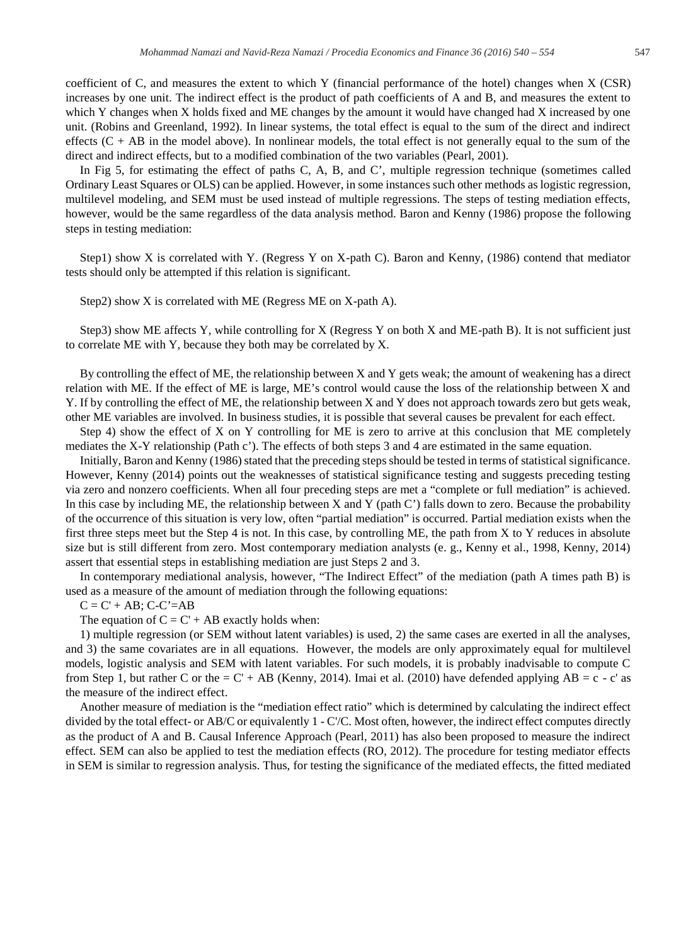coefficient of C, and measures the extent to which Y (financial performance of the hotel) changes when X (CSR) increases by one unit. The indirect effect is the product of path coefficients of A and B, and measures the extent to which Y changes when X holds fixed and ME changes by the amount it would have changed had X increased by one unit. (Robins and Greenland, 1992). In linear systems, the total effect is equal to the sum of the direct and indirect effects  $(C + AB)$  in the model above). In nonlinear models, the total effect is not generally equal to the sum of the direct and indirect effects, but to a modified combination of the two variables (Pearl, 2001).

In Fig 5, for estimating the effect of paths C, A, B, and C', multiple regression technique (sometimes called Ordinary Least Squares or OLS) can be applied. However, in some instances such other methods as logistic regression, multilevel modeling, and SEM must be used instead of multiple regressions. The steps of testing mediation effects, however, would be the same regardless of the data analysis method. Baron and Kenny (1986) propose the following steps in testing mediation:

Step1) show X is correlated with Y. (Regress Y on X-path C). Baron and Kenny, (1986) contend that mediator tests should only be attempted if this relation is significant.

Step2) show X is correlated with ME (Regress ME on X-path A).

Step3) show ME affects Y, while controlling for X (Regress Y on both X and ME-path B). It is not sufficient just to correlate ME with Y, because they both may be correlated by X.

By controlling the effect of ME, the relationship between X and Y gets weak; the amount of weakening has a direct relation with ME. If the effect of ME is large, ME's control would cause the loss of the relationship between X and Y. If by controlling the effect of ME, the relationship between X and Y does not approach towards zero but gets weak, other ME variables are involved. In business studies, it is possible that several causes be prevalent for each effect.

Step 4) show the effect of X on Y controlling for ME is zero to arrive at this conclusion that ME completely mediates the X-Y relationship (Path c'). The effects of both steps 3 and 4 are estimated in the same equation.

Initially, Baron and Kenny (1986) stated that the preceding steps should be tested in terms of statistical significance. However, Kenny (2014) points out the weaknesses of statistical significance testing and suggests preceding testing via zero and nonzero coefficients. When all four preceding steps are met a "complete or full mediation" is achieved. In this case by including ME, the relationship between X and Y (path C') falls down to zero. Because the probability of the occurrence of this situation is very low, often "partial mediation" is occurred. Partial mediation exists when the first three steps meet but the Step 4 is not. In this case, by controlling ME, the path from X to Y reduces in absolute size but is still different from zero. Most contemporary mediation analysts (e. g., Kenny et al., 1998, Kenny, 2014) assert that essential steps in establishing mediation are just Steps 2 and 3.

In contemporary mediational analysis, however, "The Indirect Effect" of the mediation (path A times path B) is used as a measure of the amount of mediation through the following equations:

#### $C = C' + AB$ ;  $C-C' = AB$

The equation of  $C = C' + AB$  exactly holds when:

1) multiple regression (or SEM without latent variables) is used, 2) the same cases are exerted in all the analyses, and 3) the same covariates are in all equations. However, the models are only approximately equal for multilevel models, logistic analysis and SEM with latent variables. For such models, it is probably inadvisable to compute C from Step 1, but rather C or the =  $C' + AB$  (Kenny, 2014). Imai et al. (2010) have defended applying AB = c - c' as the measure of the indirect effect.

Another measure of mediation is the "mediation effect ratio" which is determined by calculating the indirect effect divided by the total effect- or AB/C or equivalently 1 - C'/C. Most often, however, the indirect effect computes directly as the product of A and B. Causal Inference Approach (Pearl, 2011) has also been proposed to measure the indirect effect. SEM can also be applied to test the mediation effects (RO, 2012). The procedure for testing mediator effects in SEM is similar to regression analysis. Thus, for testing the significance of the mediated effects, the fitted mediated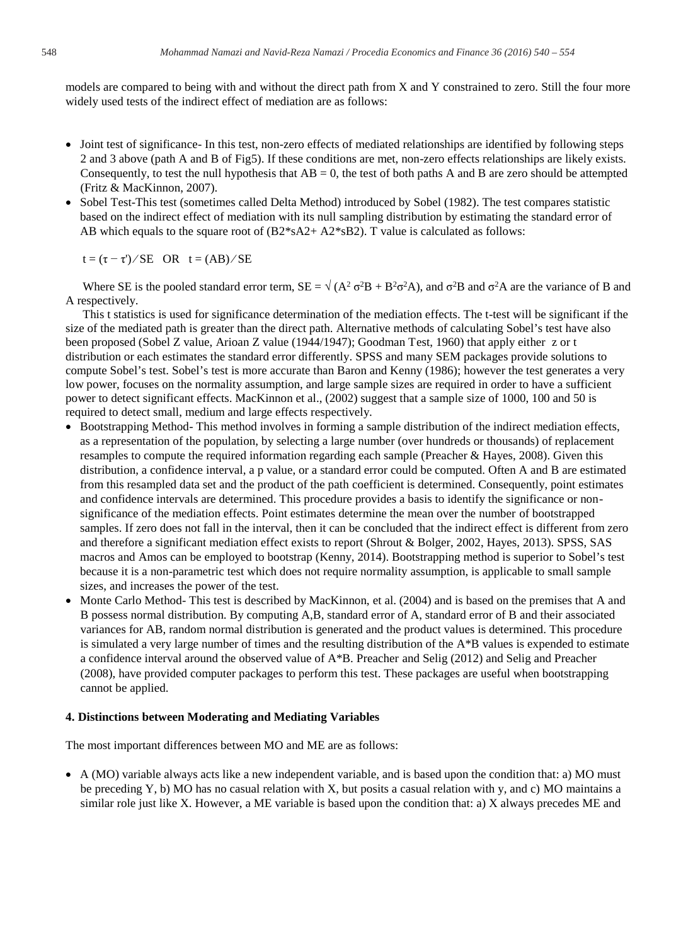models are compared to being with and without the direct path from X and Y constrained to zero. Still the four more widely used tests of the indirect effect of mediation are as follows:

- Joint test of significance- In this test, non-zero effects of mediated relationships are identified by following steps 2 and 3 above (path A and B of Fig5). If these conditions are met, non-zero effects relationships are likely exists. Consequently, to test the null hypothesis that  $AB = 0$ , the test of both paths A and B are zero should be attempted (Fritz & MacKinnon, 2007).
- Sobel Test-This test (sometimes called Delta Method) introduced by Sobel (1982). The test compares statistic based on the indirect effect of mediation with its null sampling distribution by estimating the standard error of AB which equals to the square root of  $(B2*sA2 + A2*sB2)$ . T value is calculated as follows:

 $t = (\tau - \tau') / SE$  OR  $t = (AB) / SE$ 

Where SE is the pooled standard error term,  $SE = \sqrt{(A^2 \sigma^2 B + B^2 \sigma^2 A)}$ , and  $\sigma^2 B$  and  $\sigma^2 A$  are the variance of B and A respectively.

This t statistics is used for significance determination of the mediation effects. The t-test will be significant if the size of the mediated path is greater than the direct path. Alternative methods of calculating Sobel's test have also been proposed (Sobel Z value, Arioan Z value (1944/1947); Goodman Test, 1960) that apply either z or t distribution or each estimates the standard error differently. SPSS and many SEM packages provide solutions to compute Sobel's test. Sobel's test is more accurate than Baron and Kenny (1986); however the test generates a very low power, focuses on the normality assumption, and large sample sizes are required in order to have a sufficient power to detect significant effects. MacKinnon et al., (2002) suggest that a sample size of 1000, 100 and 50 is required to detect small, medium and large effects respectively.

- x Bootstrapping Method- This method involves in forming a sample distribution of the indirect mediation effects, as a representation of the population, by selecting a large number (over hundreds or thousands) of replacement resamples to compute the required information regarding each sample (Preacher & Hayes, 2008). Given this distribution, a confidence interval, a p value, or a standard error could be computed. Often A and B are estimated from this resampled data set and the product of the path coefficient is determined. Consequently, point estimates and confidence intervals are determined. This procedure provides a basis to identify the significance or nonsignificance of the mediation effects. Point estimates determine the mean over the number of bootstrapped samples. If zero does not fall in the interval, then it can be concluded that the indirect effect is different from zero and therefore a significant mediation effect exists to report (Shrout & Bolger, 2002, Hayes, 2013). SPSS, SAS macros and Amos can be employed to bootstrap (Kenny, 2014). Bootstrapping method is superior to Sobel's test because it is a non-parametric test which does not require normality assumption, is applicable to small sample sizes, and increases the power of the test.
- Monte Carlo Method- This test is described by MacKinnon, et al. (2004) and is based on the premises that A and B possess normal distribution. By computing A,B, standard error of A, standard error of B and their associated variances for AB, random normal distribution is generated and the product values is determined. This procedure is simulated a very large number of times and the resulting distribution of the A\*B values is expended to estimate a confidence interval around the observed value of A\*B. Preacher and Selig (2012) and Selig and Preacher (2008), have provided computer packages to perform this test. These packages are useful when bootstrapping cannot be applied.

#### **4. Distinctions between Moderating and Mediating Variables**

The most important differences between MO and ME are as follows:

• A (MO) variable always acts like a new independent variable, and is based upon the condition that: a) MO must be preceding Y, b) MO has no casual relation with X, but posits a casual relation with y, and c) MO maintains a similar role just like X. However, a ME variable is based upon the condition that: a) X always precedes ME and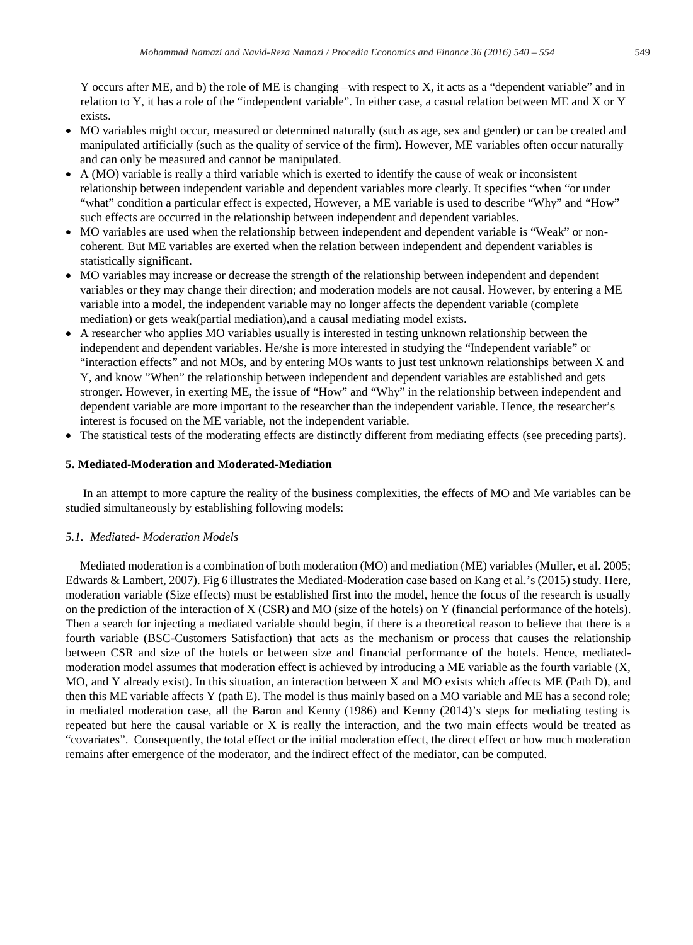Y occurs after ME, and b) the role of ME is changing –with respect to X, it acts as a "dependent variable" and in relation to Y, it has a role of the "independent variable". In either case, a casual relation between ME and X or Y exists.

- MO variables might occur, measured or determined naturally (such as age, sex and gender) or can be created and manipulated artificially (such as the quality of service of the firm). However, ME variables often occur naturally and can only be measured and cannot be manipulated.
- A (MO) variable is really a third variable which is exerted to identify the cause of weak or inconsistent relationship between independent variable and dependent variables more clearly. It specifies "when "or under "what" condition a particular effect is expected, However, a ME variable is used to describe "Why" and "How" such effects are occurred in the relationship between independent and dependent variables.
- MO variables are used when the relationship between independent and dependent variable is "Weak" or noncoherent. But ME variables are exerted when the relation between independent and dependent variables is statistically significant.
- MO variables may increase or decrease the strength of the relationship between independent and dependent variables or they may change their direction; and moderation models are not causal. However, by entering a ME variable into a model, the independent variable may no longer affects the dependent variable (complete mediation) or gets weak(partial mediation),and a causal mediating model exists.
- A researcher who applies MO variables usually is interested in testing unknown relationship between the independent and dependent variables. He/she is more interested in studying the "Independent variable" or "interaction effects" and not MOs, and by entering MOs wants to just test unknown relationships between X and Y, and know "When" the relationship between independent and dependent variables are established and gets stronger. However, in exerting ME, the issue of "How" and "Why" in the relationship between independent and dependent variable are more important to the researcher than the independent variable. Hence, the researcher's interest is focused on the ME variable, not the independent variable.
- x The statistical tests of the moderating effects are distinctly different from mediating effects (see preceding parts).

# **5. Mediated-Moderation and Moderated-Mediation**

In an attempt to more capture the reality of the business complexities, the effects of MO and Me variables can be studied simultaneously by establishing following models:

# *5.1. Mediated- Moderation Models*

Mediated moderation is a combination of both moderation (MO) and mediation (ME) variables (Muller, et al. 2005; Edwards & Lambert, 2007). Fig 6 illustrates the Mediated-Moderation case based on Kang et al.'s (2015) study. Here, moderation variable (Size effects) must be established first into the model, hence the focus of the research is usually on the prediction of the interaction of X (CSR) and MO (size of the hotels) on Y (financial performance of the hotels). Then a search for injecting a mediated variable should begin, if there is a theoretical reason to believe that there is a fourth variable (BSC-Customers Satisfaction) that acts as the mechanism or process that causes the relationship between CSR and size of the hotels or between size and financial performance of the hotels. Hence, mediatedmoderation model assumes that moderation effect is achieved by introducing a ME variable as the fourth variable (X, MO, and Y already exist). In this situation, an interaction between X and MO exists which affects ME (Path D), and then this ME variable affects Y (path E). The model is thus mainly based on a MO variable and ME has a second role; in mediated moderation case, all the Baron and Kenny (1986) and Kenny (2014)'s steps for mediating testing is repeated but here the causal variable or X is really the interaction, and the two main effects would be treated as "covariates". Consequently, the total effect or the initial moderation effect, the direct effect or how much moderation remains after emergence of the moderator, and the indirect effect of the mediator, can be computed.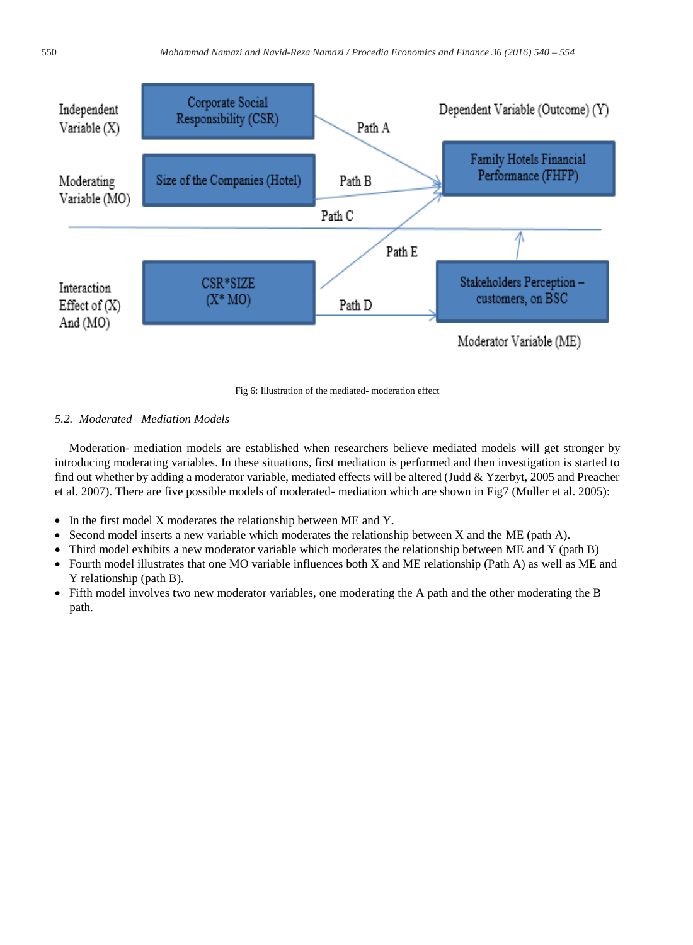

Fig 6: Illustration of the mediated- moderation effect

## *5.2. Moderated –Mediation Models*

Moderation- mediation models are established when researchers believe mediated models will get stronger by introducing moderating variables. In these situations, first mediation is performed and then investigation is started to find out whether by adding a moderator variable, mediated effects will be altered (Judd & Yzerbyt, 2005 and Preacher et al. 2007). There are five possible models of moderated- mediation which are shown in Fig7 (Muller et al. 2005):

- In the first model X moderates the relationship between ME and Y.
- Second model inserts a new variable which moderates the relationship between X and the ME (path A).
- x Third model exhibits a new moderator variable which moderates the relationship between ME and Y (path B)
- Fourth model illustrates that one MO variable influences both X and ME relationship (Path A) as well as ME and Y relationship (path B).
- Fifth model involves two new moderator variables, one moderating the A path and the other moderating the B path.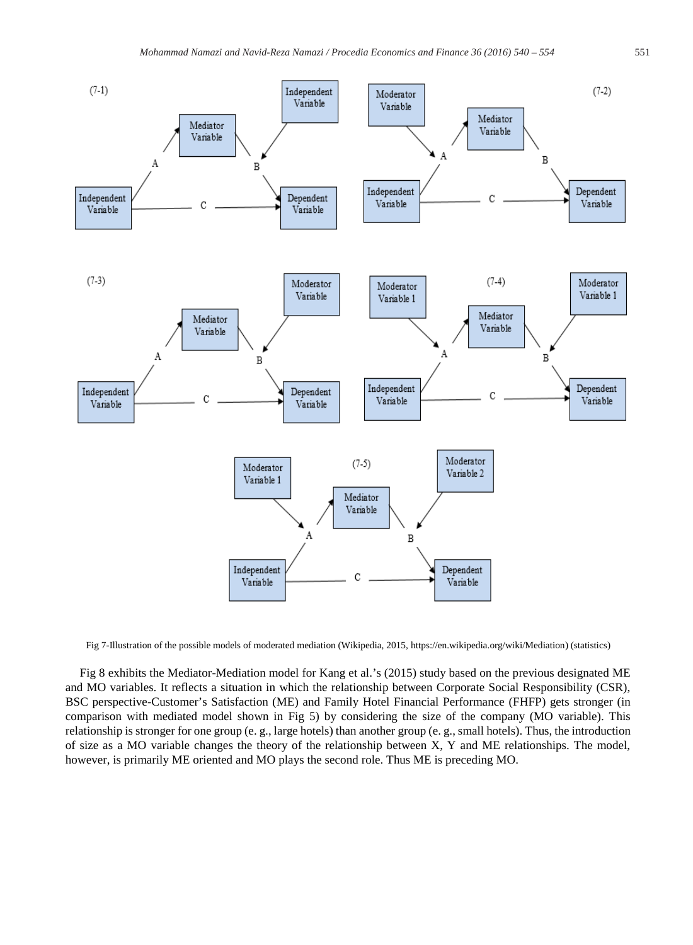

Fig 7-Illustration of the possible models of moderated mediation (Wikipedia, 2015, https://en.wikipedia.org/wiki/Mediation) (statistics)

Fig 8 exhibits the Mediator-Mediation model for Kang et al.'s (2015) study based on the previous designated ME and MO variables. It reflects a situation in which the relationship between Corporate Social Responsibility (CSR), BSC perspective-Customer's Satisfaction (ME) and Family Hotel Financial Performance (FHFP) gets stronger (in comparison with mediated model shown in Fig 5) by considering the size of the company (MO variable). This relationship is stronger for one group (e. g., large hotels) than another group (e. g., small hotels). Thus, the introduction of size as a MO variable changes the theory of the relationship between X, Y and ME relationships. The model, however, is primarily ME oriented and MO plays the second role. Thus ME is preceding MO.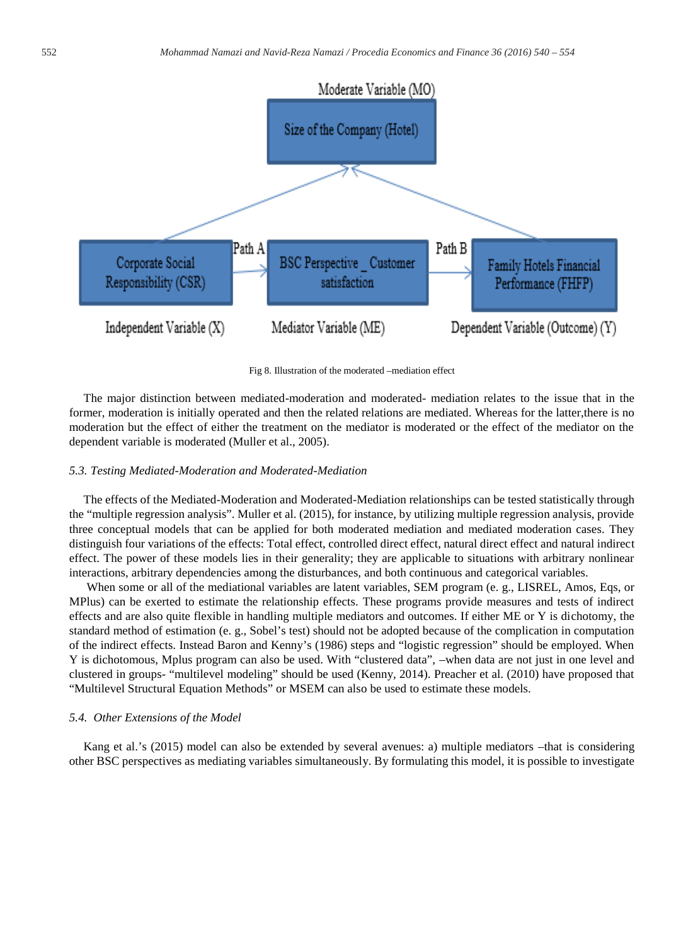

Fig 8. Illustration of the moderated –mediation effect

The major distinction between mediated-moderation and moderated- mediation relates to the issue that in the former, moderation is initially operated and then the related relations are mediated. Whereas for the latter,there is no moderation but the effect of either the treatment on the mediator is moderated or the effect of the mediator on the dependent variable is moderated (Muller et al., 2005).

#### *5.3. Testing Mediated-Moderation and Moderated-Mediation*

The effects of the Mediated-Moderation and Moderated-Mediation relationships can be tested statistically through the "multiple regression analysis". Muller et al. (2015), for instance, by utilizing multiple regression analysis, provide three conceptual models that can be applied for both moderated mediation and mediated moderation cases. They distinguish four variations of the effects: Total effect, controlled direct effect, natural direct effect and natural indirect effect. The power of these models lies in their generality; they are applicable to situations with arbitrary nonlinear interactions, arbitrary dependencies among the disturbances, and both continuous and categorical variables.

When some or all of the mediational variables are latent variables, SEM program (e. g., LISREL, Amos, Eqs, or MPlus) can be exerted to estimate the relationship effects. These programs provide measures and tests of indirect effects and are also quite flexible in handling multiple mediators and outcomes. If either ME or Y is dichotomy, the standard method of estimation (e. g., Sobel's test) should not be adopted because of the complication in computation of the indirect effects. Instead Baron and Kenny's (1986) steps and "logistic regression" should be employed. When Y is dichotomous, Mplus program can also be used. With "clustered data", –when data are not just in one level and clustered in groups- "multilevel modeling" should be used (Kenny, 2014). Preacher et al. (2010) have proposed that "Multilevel Structural Equation Methods" or MSEM can also be used to estimate these models.

#### *5.4. Other Extensions of the Model*

Kang et al.'s (2015) model can also be extended by several avenues: a) multiple mediators –that is considering other BSC perspectives as mediating variables simultaneously. By formulating this model, it is possible to investigate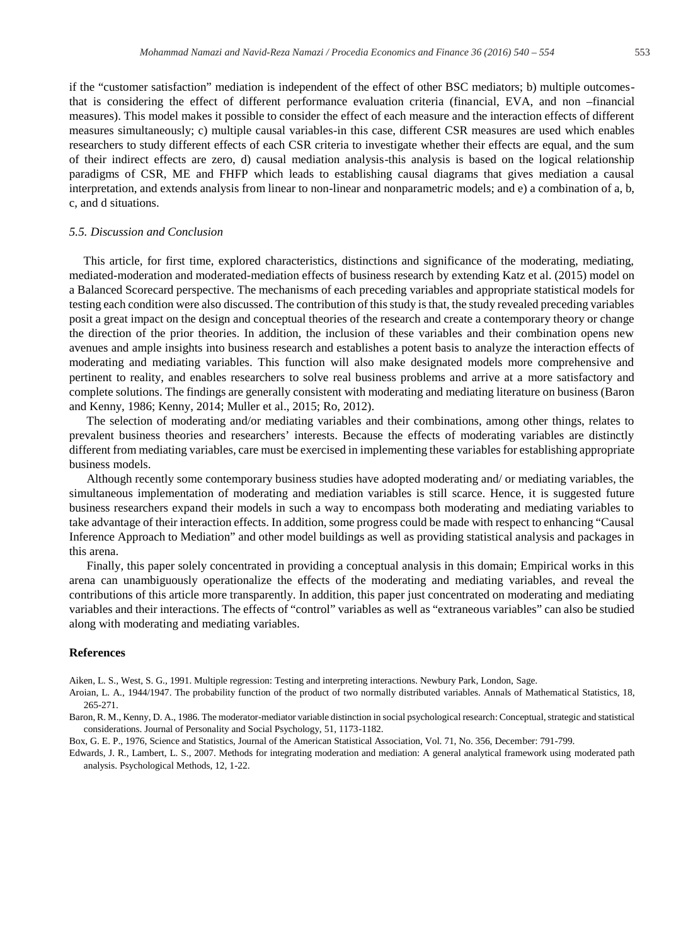if the "customer satisfaction" mediation is independent of the effect of other BSC mediators; b) multiple outcomesthat is considering the effect of different performance evaluation criteria (financial, EVA, and non –financial measures). This model makes it possible to consider the effect of each measure and the interaction effects of different measures simultaneously; c) multiple causal variables-in this case, different CSR measures are used which enables researchers to study different effects of each CSR criteria to investigate whether their effects are equal, and the sum of their indirect effects are zero, d) causal mediation analysis-this analysis is based on the logical relationship paradigms of CSR, ME and FHFP which leads to establishing causal diagrams that gives mediation a causal interpretation, and extends analysis from linear to non-linear and nonparametric models; and e) a combination of a, b, c, and d situations.

#### *5.5. Discussion and Conclusion*

This article, for first time, explored characteristics, distinctions and significance of the moderating, mediating, mediated-moderation and moderated-mediation effects of business research by extending Katz et al. (2015) model on a Balanced Scorecard perspective. The mechanisms of each preceding variables and appropriate statistical models for testing each condition were also discussed. The contribution of this study is that, the study revealed preceding variables posit a great impact on the design and conceptual theories of the research and create a contemporary theory or change the direction of the prior theories. In addition, the inclusion of these variables and their combination opens new avenues and ample insights into business research and establishes a potent basis to analyze the interaction effects of moderating and mediating variables. This function will also make designated models more comprehensive and pertinent to reality, and enables researchers to solve real business problems and arrive at a more satisfactory and complete solutions. The findings are generally consistent with moderating and mediating literature on business (Baron and Kenny, 1986; Kenny, 2014; Muller et al., 2015; Ro, 2012).

The selection of moderating and/or mediating variables and their combinations, among other things, relates to prevalent business theories and researchers' interests. Because the effects of moderating variables are distinctly different from mediating variables, care must be exercised in implementing these variables for establishing appropriate business models.

Although recently some contemporary business studies have adopted moderating and/ or mediating variables, the simultaneous implementation of moderating and mediation variables is still scarce. Hence, it is suggested future business researchers expand their models in such a way to encompass both moderating and mediating variables to take advantage of their interaction effects. In addition, some progress could be made with respect to enhancing "Causal Inference Approach to Mediation" and other model buildings as well as providing statistical analysis and packages in this arena.

 Finally, this paper solely concentrated in providing a conceptual analysis in this domain; Empirical works in this arena can unambiguously operationalize the effects of the moderating and mediating variables, and reveal the contributions of this article more transparently. In addition, this paper just concentrated on moderating and mediating variables and their interactions. The effects of "control" variables as well as "extraneous variables" can also be studied along with moderating and mediating variables.

#### **References**

Aiken, L. S., West, S. G., 1991. Multiple regression: Testing and interpreting interactions. Newbury Park, London, Sage.

Aroian, L. A., 1944/1947. The probability function of the product of two normally distributed variables. Annals of Mathematical Statistics, 18, 265-271.

Baron, R. M., Kenny, D. A., 1986. The moderator-mediator variable distinction in social psychological research: Conceptual, strategic and statistical considerations. Journal of Personality and Social Psychology, 51, 1173-1182.

Box, G. E. P., 1976, Science and Statistics, Journal of the American Statistical Association, Vol. 71, No. 356, December: 791-799.

Edwards, J. R., Lambert, L. S., 2007. Methods for integrating moderation and mediation: A general analytical framework using moderated path analysis. Psychological Methods, 12, 1-22.